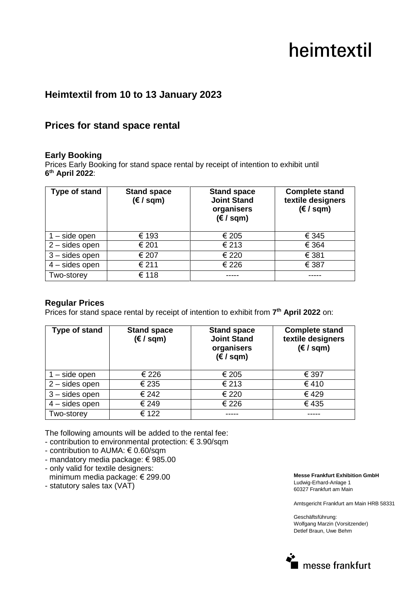# heimtextil

## **Heimtextil from 10 to 13 January 2023**

### **Prices for stand space rental**

#### **Early Booking**

Prices Early Booking for stand space rental by receipt of intention to exhibit until **6 th April 2022**:

| <b>Type of stand</b> | <b>Stand space</b><br>$(\epsilon / \text{sgm})$ | <b>Stand space</b><br><b>Joint Stand</b><br>organisers<br>$(\epsilon / \sqrt{sgn})$ | <b>Complete stand</b><br>textile designers<br>$(\epsilon / \sqrt{\epsilon})$ |
|----------------------|-------------------------------------------------|-------------------------------------------------------------------------------------|------------------------------------------------------------------------------|
| $1 - side$ open      | € 193                                           | € 205                                                                               | € 345                                                                        |
| $2$ – sides open     | € 201                                           | € 213                                                                               | € 364                                                                        |
| $3 -$ sides open     | € 207                                           | € 220                                                                               | € 381                                                                        |
| $4$ – sides open     | € 211                                           | € 226                                                                               | € 387                                                                        |
| Two-storey           | € 118                                           |                                                                                     |                                                                              |

#### **Regular Prices**

Prices for stand space rental by receipt of intention to exhibit from 7<sup>th</sup> April 2022 on:

| Type of stand              | <b>Stand space</b><br>$(\epsilon / \sqrt{\epsilon})$ | <b>Stand space</b><br><b>Joint Stand</b><br>organisers<br>$(\epsilon / \sqrt{sgm})$ | <b>Complete stand</b><br>textile designers<br>$(\epsilon / \sqrt{\epsilon})$ |
|----------------------------|------------------------------------------------------|-------------------------------------------------------------------------------------|------------------------------------------------------------------------------|
| $\overline{1}$ – side open | € 226                                                | € 205                                                                               | € 397                                                                        |
| $2$ – sides open           | € 235                                                | € 213                                                                               | €410                                                                         |
| $3 -$ sides open           | € 242                                                | € 220                                                                               | €429                                                                         |
| $4$ – sides open           | € 249                                                | € 226                                                                               | €435                                                                         |
| Two-storey                 | € 122                                                |                                                                                     |                                                                              |

The following amounts will be added to the rental fee:

- contribution to environmental protection: € 3.90/sqm

- contribution to AUMA: € 0.60/sqm
- mandatory media package: € 985.00
- only valid for textile designers: minimum media package: € 299.00
- statutory sales tax (VAT)

**Messe Frankfurt Exhibition GmbH**  Ludwig-Erhard-Anlage 1 60327 Frankfurt am Main

Amtsgericht Frankfurt am Main HRB 58331

Geschäftsführung: Wolfgang Marzin (Vorsitzender) Detlef Braun, Uwe Behm